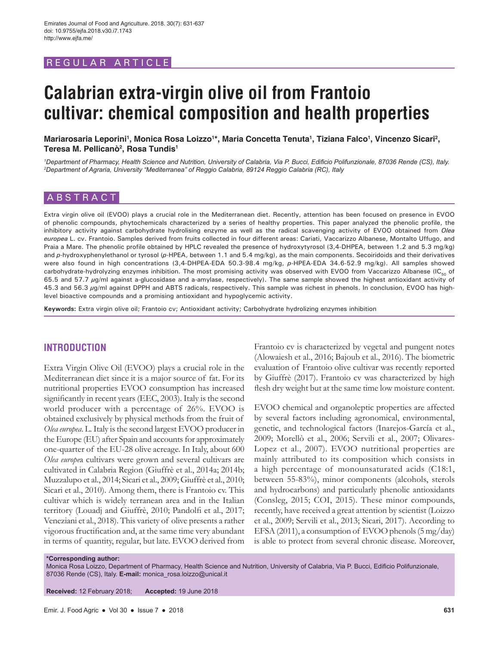# REGULAR ARTICLE

# **Calabrian extra-virgin olive oil from Frantoio cultivar: chemical composition and health properties**

Mariarosaria Leporini<sup>ı</sup>, Monica Rosa Loizzo<sup>1</sup>\*, Maria Concetta Tenuta<sup>ı</sup>, Tiziana Falco<sup>ı</sup>, Vincenzo Sicari<sup>2</sup>, **Teresa M. Pellicanò2 , Rosa Tundis1**

*1 Department of Pharmacy, Health Science and Nutrition, University of Calabria, Via P. Bucci, Edificio Polifunzionale, 87036 Rende (CS), Italy. 2 Department of Agraria, University "Mediterranea" of Reggio Calabria, 89124 Reggio Calabria (RC), Italy*

# **ABSTRACT**

Extra virgin olive oil (EVOO) plays a crucial role in the Mediterranean diet. Recently, attention has been focused on presence in EVOO of phenolic compounds, phytochemicals characterized by a series of healthy properties. This paper analyzed the phenolic profile, the inhibitory activity against carbohydrate hydrolising enzyme as well as the radical scavenging activity of EVOO obtained from *Olea europea* L. cv. Frantoio. Samples derived from fruits collected in four different areas: Cariati, Vaccarizzo Albanese, Montalto Uffugo, and Praia a Mare. The phenolic profile obtained by HPLC revealed the presence of hydroxytyrosol (3,4-DHPEA, between 1.2 and 5.3 mg/kg) and *p*-hydroxyphenylethanol or tyrosol (*p*-HPEA, between 1.1 and 5.4 mg/kg), as the main components. Secoiridoids and their derivatives were also found in high concentrations (3,4-DHPEA-EDA 50.3-98.4 mg/kg, *p*-HPEA-EDA 34.6-52.9 mg/kg). All samples showed carbohydrate-hydrolyzing enzymes inhibition. The most promising activity was observed with EVOO from Vaccarizzo Albanese (IC $_{50}$  of 65.5 and 57.7  $\mu$ g/ml against a-glucosidase and a-amylase, respectively). The same sample showed the highest antioxidant activity of 45.3 and 56.3 µg/ml against DPPH and ABTS radicals, respectively. This sample was richest in phenols. In conclusion, EVOO has highlevel bioactive compounds and a promising antioxidant and hypoglycemic activity.

**Keywords:** Extra virgin olive oil; Frantoio cv; Antioxidant activity; Carbohydrate hydrolizing enzymes inhibition

# **INTRODUCTION**

Extra Virgin Olive Oil (EVOO) plays a crucial role in the Mediterranean diet since it is a major source of fat. For its nutritional properties EVOO consumption has increased significantly in recent years (EEC, 2003). Italy is the second world producer with a percentage of 26%. EVOO is obtained exclusively by physical methods from the fruit of *Olea europea*. L. Italy is the second largest EVOO producer in the Europe (EU) after Spain and accounts for approximately one-quarter of the EU-28 olive acreage. In Italy, about 600 *Olea europe*a cultivars were grown and several cultivars are cultivated in Calabria Region (Giuffrè et al., 2014a; 2014b; Muzzalupo et al., 2014; Sicari et al., 2009; Giuffrè et al., 2010; Sicari et al., 2010). Among them, there is Frantoio cv. This cultivar which is widely terranean area and in the Italian territory (Louadj and Giuffrè, 2010; Pandolfi et al., 2017; Veneziani et al., 2018). This variety of olive presents a rather vigorous fructification and, at the same time very abundant in terms of quantity, regular, but late. EVOO derived from

Frantoio cv is characterized by vegetal and pungent notes (Alowaiesh et al., 2016; Bajoub et al., 2016). The biometric evaluation of Frantoio olive cultivar was recently reported by Giuffrè (2017). Frantoio cv was characterized by high flesh dry weight but at the same time low moisture content.

EVOO chemical and organoleptic properties are affected by several factors including agronomical, environmental, genetic, and technological factors (Inarejos-García et al., 2009; Morellò et al., 2006; Servili et al., 2007; Olivares-Lopez et al., 2007). EVOO nutritional properties are mainly attributed to its composition which consists in a high percentage of monounsaturated acids (C18:1, between 55-83%), minor components (alcohols, sterols and hydrocarbons) and particularly phenolic antioxidants (Consleg, 2015; COI, 2015). These minor compounds, recently, have received a great attention by scientist (Loizzo et al., 2009; Servili et al., 2013; Sicari, 2017). According to EFSA (2011), a consumption of EVOO phenols (5 mg/day) is able to protect from several chronic disease. Moreover,

**\*Corresponding author:**

Monica Rosa Loizzo, Department of Pharmacy, Health Science and Nutrition, University of Calabria, Via P. Bucci, Edificio Polifunzionale, 87036 Rende (CS), Italy. **E-mail:** monica\_rosa.loizzo@unical.it

**Received:** 12 February 2018; **Accepted:** 19 June 2018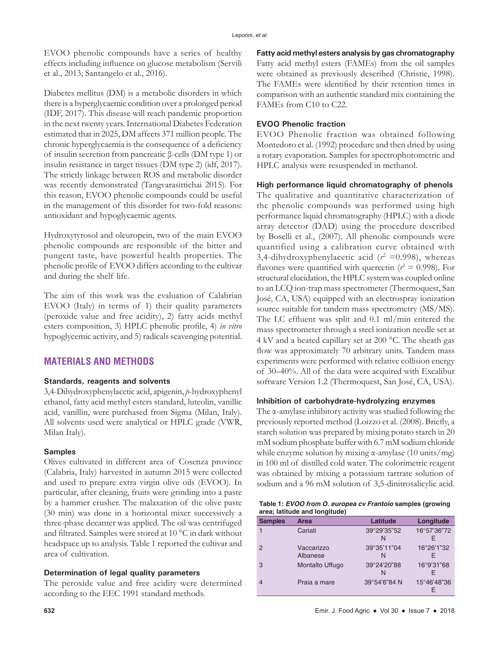EVOO phenolic compounds have a series of healthy effects including influence on glucose metabolism (Servili et al., 2013; Santangelo et al., 2016).

Diabetes mellitus (DM) is a metabolic disorders in which there is a hyperglycaemic condition over a prolonged period (IDF, 2017). This disease will reach pandemic proportion in the next twenty years. International Diabetes Federation estimated that in 2025, DM affects 371 million people. The chronic hyperglycaemia is the consequence of a deficiency of insulin secretion from pancreatic β-cells (DM type 1) or insulin resistance in target tissues (DM type 2) (idf, 2017). The strictly linkage between ROS and metabolic disorder was recently demonstrated (Tangvarasittichai 2015). For this reason, EVOO phenolic compounds could be useful in the management of this disorder for two-fold reasons: antioxidant and hypoglycaemic agents.

Hydroxytyrosol and oleuropein, two of the main EVOO phenolic compounds are responsible of the bitter and pungent taste, have powerful health properties. The phenolic profile of EVOO differs according to the cultivar and during the shelf life.

The aim of this work was the evaluation of Calabrian EVOO (Italy) in terms of 1) their quality parameters (peroxide value and free acidity), 2) fatty acids methyl esters composition, 3) HPLC phenolic profile, 4) *in vitro*  hypoglycemic activity, and 5) radicals scavenging potential.

# **MATERIALS AND METHODS**

## **Standards, reagents and solvents**

3,4-Dihydroxyphenylacetic acid, apigenin, *p*-hydroxyphenyl ethanol, fatty acid methyl esters standard, luteolin, vanillic acid, vanillin, were purchased from Sigma (Milan, Italy). All solvents used were analytical or HPLC grade (VWR, Milan Italy).

## **Samples**

Olives cultivated in different area of Cosenza province (Calabria, Italy) harvested in autumn 2015 were collected and used to prepare extra virgin olive oils (EVOO). In particular, after cleaning, fruits were grinding into a paste by a hammer crusher. The malaxation of the olive paste (30 min) was done in a horizontal mixer successively a three-phase decanter was applied. The oil was centrifuged and filtrated. Samples were stored at 10 °C in dark without headspace up to analysis. Table 1 reported the cultivar and area of cultivation.

## **Determination of legal quality parameters**

The peroxide value and free acidity were determined according to the EEC 1991 standard methods.

**Fatty acid methyl esters analysis by gas chromatography** Fatty acid methyl esters (FAMEs) from the oil samples were obtained as previously described (Christie, 1998). The FAMEs were identified by their retention times in comparison with an authentic standard mix containing the FAMEs from C10 to C22.

## **EVOO Phenolic fraction**

EVOO Phenolic fraction was obtained following Montedoro et al. (1992) procedure and then dried by using a rotary evaporation. Samples for spectrophotometric and HPLC analysis were resuspended in methanol.

## **High performance liquid chromatography of phenols**

The qualitative and quantitative characterization of the phenolic compounds was performed using high performance liquid chromatography (HPLC) with a diode array detector (DAD) using the procedure described by Boselli et al., (2007). All phenolic compounds were quantified using a calibration curve obtained with 3,4-dihydroxyphenylacetic acid  $(r^2 = 0.998)$ , whereas flavones were quantified with quercetin ( $r^2 = 0.998$ ). For structural elucidation, the HPLC system was coupled online to an LCQ ion-trap mass spectrometer (Thermoquest, San José, CA, USA) equipped with an electrospray ionization source suitable for tandem mass spectrometry (MS/MS). The LC effluent was split and 0.1 ml/min entered the mass spectrometer through a steel ionization needle set at 4 kV and a heated capillary set at 200 °C. The sheath gas flow was approximately 70 arbitrary units. Tandem mass experiments were performed with relative collision energy of 30–40%. All of the data were acquired with Excalibur software Version 1.2 (Thermoquest, San José, CA, USA).

## **Inhibition of carbohydrate-hydrolyzing enzymes**

The α-amylase inhibitory activity was studied following the previously reported method (Loizzo et al. (2008). Briefly, a starch solution was prepared by mixing potato starch in 20 mM sodium phosphate buffer with 6.7 mM sodium chloride while enzyme solution by mixing  $\alpha$ -amylase (10 units/mg) in 100 ml of distilled cold water. The colorimetric reagent was obtained by mixing a potassium tartrate solution of sodium and a 96 mM solution of 3,5-dinitrosalicylic acid.

| Table 1: EVOO from O. europea cv Frantoio samples (growing |  |
|------------------------------------------------------------|--|
| area; latitude and longitude)                              |  |

| <b>Samples</b> | Area            | Latitude     | Longitude   |
|----------------|-----------------|--------------|-------------|
|                | Cariati         | 39°29'35"52  | 16°57'36"72 |
|                |                 | N            | F.          |
| $\mathcal{P}$  | Vaccarizzo      | 39°35'11"04  | 16°26'1"32  |
|                | Albanese        | N            | F           |
| 3              | Montalto Uffugo | 39°24'20"88  | 16°9'31"68  |
|                |                 | N            | F           |
|                | Praia a mare    | 39°54'6"84 N | 15°46'48"36 |
|                |                 |              | F           |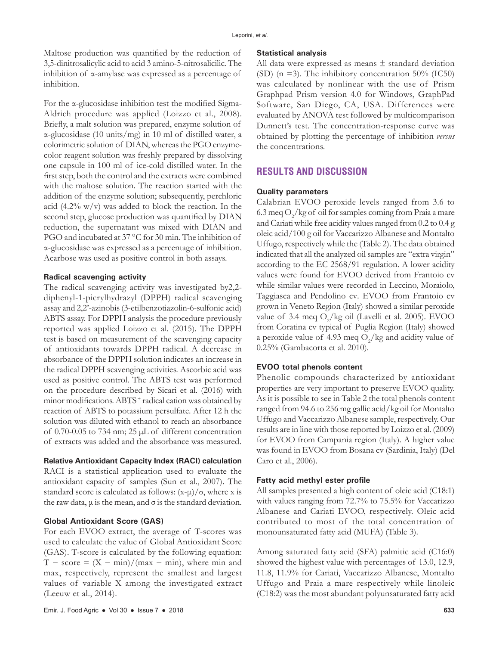Maltose production was quantified by the reduction of 3,5-dinitrosalicylic acid to acid 3 amino-5-nitrosalicilic. The inhibition of α-amylase was expressed as a percentage of inhibition.

For the α-glucosidase inhibition test the modified Sigma-Aldrich procedure was applied (Loizzo et al., 2008). Briefly, a malt solution was prepared, enzyme solution of α-glucosidase (10 units/mg) in 10 ml of distilled water, a colorimetric solution of DIAN, whereas the PGO enzymecolor reagent solution was freshly prepared by dissolving one capsule in 100 ml of ice-cold distilled water. In the first step, both the control and the extracts were combined with the maltose solution. The reaction started with the addition of the enzyme solution; subsequently, perchloric acid (4.2%  $w/v$ ) was added to block the reaction. In the second step, glucose production was quantified by DIAN reduction, the supernatant was mixed with DIAN and PGO and incubated at 37 °C for 30 min. The inhibition of α-glucosidase was expressed as a percentage of inhibition. Acarbose was used as positive control in both assays.

### **Radical scavenging activity**

The radical scavenging activity was investigated by2,2 diphenyl-1-picrylhydrazyl (DPPH) radical scavenging assay and 2,2'-azinobis (3-etilbenzotiazolin-6-sulfonic acid) ABTS assay. For DPPH analysis the procedure previously reported was applied Loizzo et al. (2015). The DPPH test is based on measurement of the scavenging capacity of antioxidants towards DPPH radical. A decrease in absorbance of the DPPH solution indicates an increase in the radical DPPH scavenging activities. Ascorbic acid was used as positive control. The ABTS test was performed on the procedure described by Sicari et al. (2016) with minor modifications. ABTS<sup>+</sup> radical cation was obtained by reaction of ABTS to potassium persulfate. After 12 h the solution was diluted with ethanol to reach an absorbance of 0.70-0.05 to 734 nm; 25 µL of different concentration of extracts was added and the absorbance was measured.

## **Relative Antioxidant Capacity Index (RACI) calculation**

RACI is a statistical application used to evaluate the antioxidant capacity of samples (Sun et al., 2007). The standard score is calculated as follows:  $(x-\mu)/\sigma$ , where x is the raw data,  $\mu$  is the mean, and  $\sigma$  is the standard deviation.

## **Global Antioxidant Score (GAS)**

For each EVOO extract, the average of T-scores was used to calculate the value of Global Antioxidant Score (GAS). T-score is calculated by the following equation:  $T - score = (X - min)/(max - min)$ , where min and max, respectively, represent the smallest and largest values of variable X among the investigated extract (Leeuw et al., 2014).

#### **Statistical analysis**

All data were expressed as means  $\pm$  standard deviation (SD) ( $n = 3$ ). The inhibitory concentration 50% (IC50) was calculated by nonlinear with the use of Prism Graphpad Prism version 4.0 for Windows, GraphPad Software, San Diego, CA, USA. Differences were evaluated by ANOVA test followed by multicomparison Dunnett's test. The concentration-response curve was obtained by plotting the percentage of inhibition *versus* the concentrations.

# **RESULTS AND DISCUSSION**

#### **Quality parameters**

Calabrian EVOO peroxide levels ranged from 3.6 to 6.3 meq  $O_2$ /kg of oil for samples coming from Praia a mare and Cariati while free acidity values ranged from 0.2 to 0.4 g oleic acid/100 g oil for Vaccarizzo Albanese and Montalto Uffugo, respectively while the (Table 2). The data obtained indicated that all the analyzed oil samples are "extra virgin" according to the EC 2568/91 regulation. A lower acidity values were found for EVOO derived from Frantoio cv while similar values were recorded in Leccino, Moraiolo, Taggiasca and Pendolino cv*.* EVOO from Frantoio cv grown in Veneto Region (Italy) showed a similar peroxide value of 3.4 meq  $O_2$ /kg oil (Lavelli et al. 2005). EVOO from Coratina cv typical of Puglia Region (Italy) showed a peroxide value of 4.93 meq  $O_2$ /kg and acidity value of 0.25% (Gambacorta et al. 2010).

#### **EVOO total phenols content**

Phenolic compounds characterized by antioxidant properties are very important to preserve EVOO quality. As it is possible to see in Table 2 the total phenols content ranged from 94.6 to 256 mg gallic acid/kg oil for Montalto Uffugo and Vaccarizzo Albanese sample, respectively. Our results are in line with those reported by Loizzo et al. (2009) for EVOO from Campania region (Italy). A higher value was found in EVOO from Bosana cv (Sardinia, Italy) (Del Caro et al., 2006).

#### **Fatty acid methyl ester profile**

All samples presented a high content of oleic acid (C18:1) with values ranging from 72.7% to 75.5% for Vaccarizzo Albanese and Cariati EVOO, respectively. Oleic acid contributed to most of the total concentration of monounsaturated fatty acid (MUFA) (Table 3).

Among saturated fatty acid (SFA) palmitic acid (C16:0) showed the highest value with percentages of 13.0, 12.9, 11.8, 11.9% for Cariati, Vaccarizzo Albanese, Montalto Uffugo and Praia a mare respectively while linoleic (C18:2) was the most abundant polyunsaturated fatty acid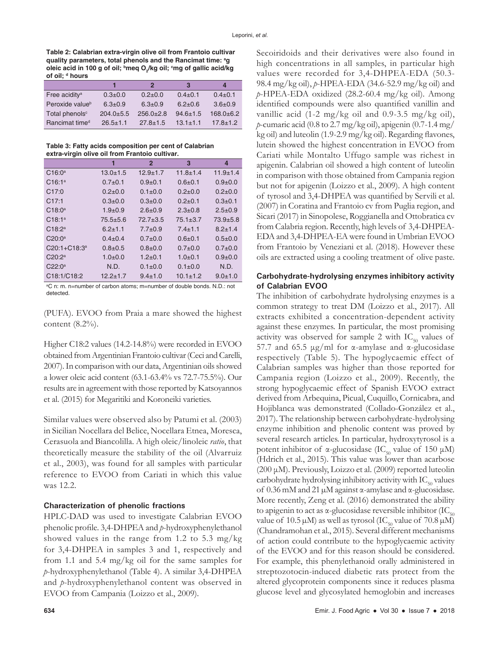**Table 2: Calabrian extra‑virgin olive oil from Frantoio cultivar quality parameters, total phenols and the Rancimat time: a g**  oleic acid in 100 g of oil; <sup>b</sup>meq O<sub>2</sub>/kg oil; <sup>c</sup>mg of gallic acid/kg **of oil; d hours**

|                             |                | 2              | в              | $\boldsymbol{A}$ |
|-----------------------------|----------------|----------------|----------------|------------------|
| Free acidity <sup>a</sup>   | $0.3 + 0.0$    | $0.2+0.0$      | $0.4 \pm 0.1$  | $0.4 \pm 0.1$    |
| Peroxide value <sup>b</sup> | $6.3 + 0.9$    | $6.3 \pm 0.9$  | $6.2 + 0.6$    | $3.6 + 0.9$      |
| Total phenols <sup>c</sup>  | $204.0 + 5.5$  | $256.0+2.8$    | $94.6 \pm 1.5$ | $168.0 + 6.2$    |
| Rancimat time <sup>d</sup>  | $26.5 \pm 1.1$ | $27.8 \pm 1.5$ | $13.1 \pm 1.1$ | $17.8 \pm 1.2$   |

**Table 3: Fatty acids composition per cent of Calabrian extra‑virgin olive oil from Frantoio cultivar.** 

|                   |                | $\mathbf{2}$  | 3              | 4              |
|-------------------|----------------|---------------|----------------|----------------|
| $C16:0^a$         | $13.0 + 1.5$   | $12.9 + 1.7$  | $11.8 \pm 1.4$ | $11.9 \pm 1.4$ |
| $C16:1^a$         | $0.7+0.1$      | $0.9 + 0.1$   | $0.6 + 0.1$    | $0.9 + 0.0$    |
| C17:0             | $0.2 + 0.0$    | $0.1 \pm 0.0$ | $0.2 + 0.0$    | $0.2 + 0.0$    |
| C17:1             | $0.3 + 0.0$    | $0.3 + 0.0$   | $0.2 + 0.1$    | $0.3 + 0.1$    |
| $C18:0^a$         | $1.9 + 0.9$    | $2.6 \pm 0.9$ | $2.3 \pm 0.8$  | $2.5 \pm 0.9$  |
| $C18:1^a$         | $75.5 + 5.6$   | $72.7 + 3.5$  | $75.1 \pm 3.7$ | $73.9 + 5.8$   |
| $C18:2^a$         | $6.2 + 1.1$    | $7.7 \pm 0.9$ | $7.4 + 1.1$    | $8.2 + 1.4$    |
| $C20:0^a$         | $0.4 \pm 0.4$  | $0.7+0.0$     | $0.6 + 0.1$    | $0.5+0.0$      |
| $C20:1 + C18:3^a$ | $0.8 + 0.5$    | $0.8 + 0.0$   | $0.7+0.0$      | $0.7+0.0$      |
| $C20:2^a$         | $1.0 + 0.0$    | $1.2 + 0.1$   | $1.0+0.1$      | $0.9 + 0.0$    |
| $C22:0^a$         | N.D.           | $0.1 \pm 0.0$ | $0.1 \pm 0.0$  | N.D.           |
| C18:1/C18:2       | $12.2 \pm 1.7$ | $9.4 \pm 1.0$ | $10.1 \pm 1.2$ | $9.0 + 1.0$    |

a C n: m. n=number of carbon atoms; m=number of double bonds. N.D.: not detected.

(PUFA). EVOO from Praia a mare showed the highest content (8.2%).

Higher C18:2 values (14.2-14.8%) were recorded in EVOO obtained from Argentinian Frantoio cultivar (Ceci and Carelli, 2007). In comparison with our data, Argentinian oils showed a lower oleic acid content (63.1-63.4% vs 72.7-75.5%). Our results are in agreement with those reported by Katsoyannos et al. (2015) for Megaritiki and Koroneiki varieties.

Similar values were observed also by Patumi et al. (2003) in Sicilian Nocellara del Belice, Nocellara Etnea, Moresca, Cerasuola and Biancolilla. A high oleic/linoleic *ratio*, that theoretically measure the stability of the oil (Alvarruiz et al., 2003), was found for all samples with particular reference to EVOO from Cariati in which this value was 12.2.

## **Characterization of phenolic fractions**

HPLC-DAD was used to investigate Calabrian EVOO phenolic profile. 3,4-DHPEA and *p*-hydroxyphenylethanol showed values in the range from 1.2 to 5.3 mg/kg for 3,4-DHPEA in samples 3 and 1, respectively and from 1.1 and 5.4 mg/kg oil for the same samples for *p*-hydroxyphenylethanol (Table 4). A similar 3,4-DHPEA and *p*-hydroxyphenylethanol content was observed in EVOO from Campania (Loizzo et al., 2009).

Secoiridoids and their derivatives were also found in high concentrations in all samples, in particular high values were recorded for 3,4-DHPEA-EDA (50.3- 98.4 mg/kg oil), *p*-HPEA-EDA (34.6-52.9 mg/kg oil) and *p*-HPEA-EDA oxidized (28.2-60.4 mg/kg oil). Among identified compounds were also quantified vanillin and vanillic acid (1-2 mg/kg oil and 0.9-3.5 mg/kg oil), *p*-cumaric acid (0.8 to 2.7 mg/kg oil), apigenin (0.7-1.4 mg/ kg oil) and luteolin (1.9-2.9 mg/kg oil). Regarding flavones, lutein showed the highest concentration in EVOO from Cariati while Montalto Uffugo sample was richest in apigenin. Calabrian oil showed a high content of luteolin in comparison with those obtained from Campania region but not for apigenin (Loizzo et al., 2009). A high content of tyrosol and 3,4-DHPEA was quantified by Servili et al. (2007) in Coratina and Frantoio cv from Puglia region, and Sicari (2017) in Sinopolese, Roggianella and Ottobratica cv from Calabria region. Recently, high levels of 3,4-DHPEA-EDA and 3,4-DHPEA-EA were found in Umbrian EVOO from Frantoio by Veneziani et al. (2018). However these oils are extracted using a cooling treatment of olive paste.

## **Carbohydrate-hydrolysing enzymes inhibitory activity of Calabrian EVOO**

The inhibition of carbohydrate hydrolysing enzymes is a common strategy to treat DM (Loizzo et al., 2017). All extracts exhibited a concentration-dependent activity against these enzymes. In particular, the most promising activity was observed for sample 2 with  $IC_{50}$  values of 57.7 and 65.5 μg/ml for α-amylase and α-glucosidase respectively (Table 5). The hypoglycaemic effect of Calabrian samples was higher than those reported for Campania region (Loizzo et al., 2009). Recently, the strong hypoglycaemic effect of Spanish EVOO extract derived from Arbequina, Picual, Cuquillo, Cornicabra, and Hojiblanca was demonstrated (Collado-González et al., 2017). The relationship between carbohydrate-hydrolysing enzyme inhibition and phenolic content was proved by several research articles. In particular, hydroxytyrosol is a potent inhibitor of α-glucosidase (IC<sub>50</sub> value of 150 μM) (Hdrich et al., 2015). This value was lower than acarbose (200 μM). Previously, Loizzo et al. (2009) reported luteolin carbohydrate hydrolysing inhibitory activity with  $IC_{50}$  values of 0.36 mM and 21 µM against α-amylase and α-glucosidase. More recently, Zeng et al. (2016) demonstrated the ability to apigenin to act as  $\alpha$ -glucosidase reversible inhibitor (IC<sub>50</sub> value of 10.5  $\mu$ M) as well as tyrosol (IC<sub>50</sub> value of 70.8  $\mu$ M) (Chandramohan et al., 2015). Several different mechanisms of action could contribute to the hypoglycaemic activity of the EVOO and for this reason should be considered. For example, this phenylethanoid orally administered in streptozotocin-induced diabetic rats protect from the altered glycoprotein components since it reduces plasma glucose level and glycosylated hemoglobin and increases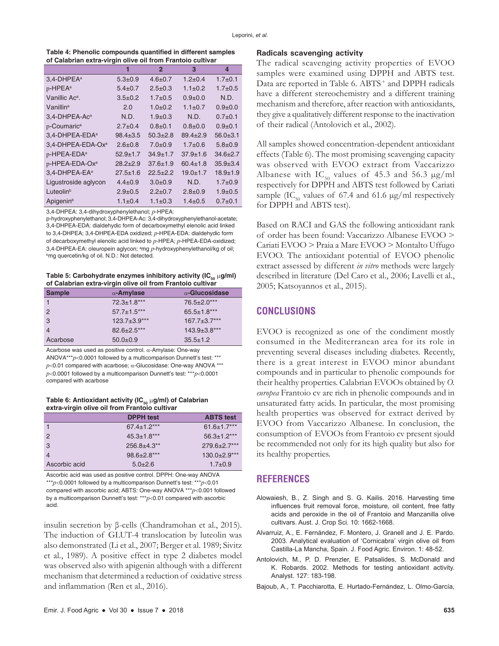|                                                            | Table 4: Phenolic compounds quantified in different samples |
|------------------------------------------------------------|-------------------------------------------------------------|
| of Calabrian extra-virgin olive oil from Frantoio cultivar |                                                             |

|                            | 1              | $\overline{2}$ | 3              | $\boldsymbol{4}$ |
|----------------------------|----------------|----------------|----------------|------------------|
| 3,4-DHPEA <sup>a</sup>     | $5.3 + 0.9$    | $4.6 + 0.7$    | $1.2 + 0.4$    | $1.7 + 0.1$      |
| p-HPEA <sup>a</sup>        | $5.4 \pm 0.7$  | $2.5 \pm 0.3$  | $1.1 \pm 0.2$  | $1.7 + 0.5$      |
| Vanillic Ac <sup>a</sup> . | $3.5 \pm 0.2$  | $1.7 + 0.5$    | $0.9 + 0.0$    | N.D.             |
| Vanillin <sup>a</sup>      | 2.0            | $1.0 + 0.2$    | $1.1 \pm 0.7$  | $0.9 + 0.0$      |
| 3,4-DHPEA-Ac <sup>a</sup>  | N.D.           | $1.9 + 0.3$    | N.D.           | $0.7+0.1$        |
| p-Coumaric <sup>a</sup>    | $2.7 \pm 0.4$  | $0.8 + 0.1$    | $0.8 + 0.0$    | $0.9 + 0.1$      |
| 3,4-DHPEA-EDA <sup>a</sup> | $98.4 \pm 3.5$ | $50.3 + 2.8$   | $89.4 + 2.9$   | $56.0 + 3.1$     |
| 3,4-DHPEA-EDA-Oxa          | $2.6 + 0.8$    | $7.0 + 0.9$    | $1.7 + 0.6$    | $5.8 + 0.9$      |
| p-HPEA-EDA <sup>a</sup>    | $52.9 \pm 1.7$ | $34.9 \pm 1.7$ | $37.9 \pm 1.6$ | $34.6 + 2.7$     |
| p-HPEA-EDA-Ox <sup>a</sup> | $28.2 \pm 2.9$ | $37.6 \pm 1.9$ | $60.4 \pm 1.8$ | $35.9 + 3.4$     |
| 3,4-DHPEA-EA <sup>a</sup>  | $27.5 \pm 1.6$ | $22.5 + 2.2$   | $19.0 + 1.7$   | $18.9 \pm 1.9$   |
| Ligustroside aglycon       | $4.4 \pm 0.9$  | $3.0 + 0.9$    | N.D.           | $1.7 + 0.9$      |
| Luteolin <sup>b</sup>      | $2.9 + 0.5$    | $2.2+0.7$      | $2.8 + 0.9$    | $1.9 + 0.5$      |
| Apigenin <sup>b</sup>      | $1.1 \pm 0.4$  | $1.1 \pm 0.3$  | $1.4 + 0.5$    | $0.7 + 0.1$      |

3,4-DHPEA: 3,4-dihydroxyphenylethanol; *p*-HPEA:

p-hydroxyphenylethanol; 3,4-DHPEA-Ac: 3,4-dihydroxyphenylethanol-acetate; 3,4-DHPEA-EDA: dialdehydic form of decarboxymethyl elenolic acid linked to 3,4-DHPEA; 3,4-DHPEA-EDA oxidized; *p*-HPEA-EDA: dialdehydic form of decarboxymethyl elenolic acid linked to *p*-HPEA; *p*-HPEA-EDA-oxidized; 3,4-DHPEA-EA: oleuropein aglycon; <sup>a</sup>mg *p*-hydroxyphenylethanol/kg of oil;<br><sup>b</sup>mg quercetin/kg of oil N D : Not detected **bmg quercetin/kg of oil. N.D.: Not detected.** 

Table 5: Carbohydrate enzymes inhibitory activity (IC<sub>50</sub> µg/ml) **of Calabrian extra‑virgin olive oil from Frantoio cultivar**

| <b>Sample</b>  | $\alpha$ -Amylase | $\alpha$ -Glucosidase |
|----------------|-------------------|-----------------------|
|                | $72.3 \pm 1.8***$ | 76.5±2.0***           |
| $\overline{2}$ | $57.7 \pm 1.5***$ | $65.5 \pm 1.8***$     |
| 3              | $123.7 + 3.9***$  | $167.7 \pm 3.7***$    |
| $\overline{4}$ | $82.6 \pm 2.5***$ | $143.9 \pm 3.8$ ***   |
| Acarbose       | $50.0+0.9$        | $35.5 \pm 1.2$        |

Acarbose was used as positive control. α-Amylase: One-way ANOVA\*\*\**p*<0.0001 followed by a multicomparison Dunnett's test: \*\*\*  $p$ <0.01 compared with acarbose;  $\alpha$ -Glucosidase: One-way ANOVA \*\*\* *p*<0.0001 followed by a multicomparison Dunnett's test: \*\*\**p*<0.0001 compared with acarbose

#### **Table 6: Antioxidant activity (IC<sub>50</sub> µg/ml) of Calabrian extra‑virgin olive oil from Frantoio cultivar**

|               | <b>DPPH</b> test            | <b>ABTS test</b>   |
|---------------|-----------------------------|--------------------|
|               | $67.4 \pm 1.2***$           | $61.6 \pm 1.7***$  |
| $\mathcal{P}$ | $45.3 \pm 1.8***$           | $56.3 \pm 1.2***$  |
| 3             | $256.8 + 4.3$ <sup>**</sup> | $279.6 \pm 2.7***$ |
|               | $98.6 \pm 2.8***$           | $130.0 \pm 2.9***$ |
| Ascorbic acid | $5.0 + 2.6$                 | $1.7 \pm 0.9$      |

Ascorbic acid was used as positive control. DPPH: One-way ANOVA \*\*\**p*<0.0001 followed by a multicomparison Dunnett's test: \*\*\**p*<0.01 compared with ascorbic acid; ABTS: One-way ANOVA \*\*\**p*<0.001 followed by a multicomparison Dunnett's test: \*\*\**p*<0.01 compared with ascorbic acid.

insulin secretion by β-cells (Chandramohan et al., 2015). The induction of GLUT-4 translocation by luteolin was also demonstrated (Li et al., 2007; Berger et al. 1989; Sivitz et al., 1989). A positive effect in type 2 diabetes model was observed also with apigenin although with a different mechanism that determined a reduction of oxidative stress and inflammation (Ren et al., 2016).

#### **Radicals scavenging activity**

The radical scavenging activity properties of EVOO samples were examined using DPPH and ABTS test. Data are reported in Table 6. ABTS<sup>+</sup> and DPPH radicals have a different stereochemistry and a different training mechanism and therefore, after reaction with antioxidants, they give a qualitatively different response to the inactivation of their radical (Antolovich et al., 2002).

All samples showed concentration-dependent antioxidant effects (Table 6). The most promising scavenging capacity was observed with EVOO extract from Vaccarizzo Albanese with IC<sub>50</sub> values of 45.3 and 56.3  $\mu$ g/ml respectively for DPPH and ABTS test followed by Cariati sample (IC<sub>50</sub> values of 67.4 and 61.6  $\mu$ g/ml respectively for DPPH and ABTS test).

Based on RACI and GAS the following antioxidant rank of order has been found: Vaccarizzo Albanese EVOO > Cariati EVOO > Praia a Mare EVOO > Montalto Uffugo EVOO. The antioxidant potential of EVOO phenolic extract assessed by different *in vitro* methods were largely described in literature (Del Caro et al., 2006; Lavelli et al., 2005; Katsoyannos et al., 2015).

# **CONCLUSIONS**

EVOO is recognized as one of the condiment mostly consumed in the Mediterranean area for its role in preventing several diseases including diabetes. Recently, there is a great interest in EVOO minor abundant compounds and in particular to phenolic compounds for their healthy properties. Calabrian EVOOs obtained by *O. europea* Frantoio cv are rich in phenolic compounds and in unsaturated fatty acids. In particular, the most promising health properties was observed for extract derived by EVOO from Vaccarizzo Albanese. In conclusion, the consumption of EVOOs from Frantoio cv present sjould be recommended not only for its high quality but also for its healthy properties.

## **REFERENCES**

- Alowaiesh, B., Z. Singh and S. G. Kailis. 2016. Harvesting time influences fruit removal force, moisture, oil content, free fatty acids and peroxide in the oil of Frantoio and Manzanilla olive cultivars. Aust. J. Crop Sci. 10: 1662-1668.
- Alvarruiz, A., E. Fernández, F. Montero, J. Granell and J. E. Pardo. 2003. Analytical evaluation of 'Cornicabra' virgin olive oil from Castilla-La Mancha, Spain. J. Food Agric. Environ. 1: 48-52.
- Antolovich, M., P. D. Prenzler, E. Patsalides, S. McDonald and K. Robards. 2002. Methods for testing antioxidant activity. Analyst. 127: 183-198.
- Bajoub, A., T. Pacchiarotta, E. Hurtado-Fernández, L. Olmo-García,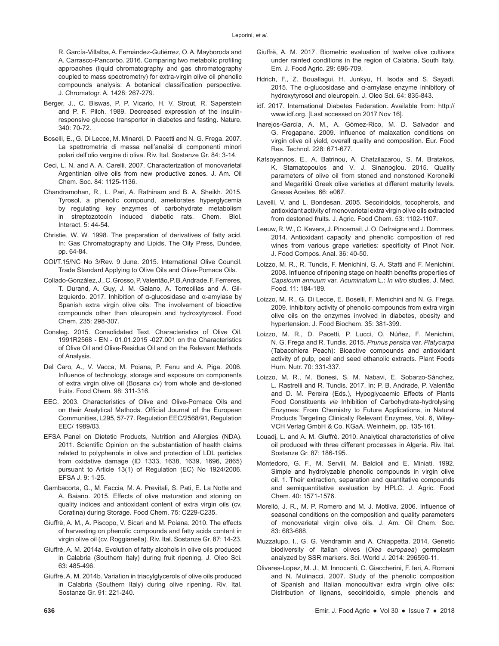R. García-Villalba, A. Fernández-Gutiérrez, O. A. Mayboroda and A. Carrasco-Pancorbo. 2016. Comparing two metabolic profiling approaches (liquid chromatography and gas chromatography coupled to mass spectrometry) for extra-virgin olive oil phenolic compounds analysis: A botanical classification perspective. J. Chromatogr. A. 1428: 267-279.

- Berger, J., C. Biswas, P. P. Vicario, H. V. Strout, R. Saperstein and P. F. Pilch. 1989. Decreased expression of the insulinresponsive glucose transporter in diabetes and fasting. Nature. 340: 70-72.
- Boselli, E., G. Di Lecce, M. Minardi, D. Pacetti and N. G. Frega. 2007. La spettrometria di massa nell'analisi di componenti minori polari dell'olio vergine di oliva. Riv. Ital. Sostanze Gr. 84: 3-14.
- Ceci, L. N. and A. A. Carelli. 2007. Characterization of monovarietal Argentinian olive oils from new productive zones. J. Am. Oil Chem. Soc. 84: 1125-1136.
- Chandramohan, R., L. Pari, A. Rathinam and B. A. Sheikh. 2015. Tyrosol, a phenolic compound, ameliorates hyperglycemia by regulating key enzymes of carbohydrate metabolism in streptozotocin induced diabetic rats. Chem. Biol. Interact. 5: 44-54.
- Christie, W. W. 1998. The preparation of derivatives of fatty acid. In: Gas Chromatography and Lipids, The Oily Press, Dundee, pp. 64-84.
- COI/T.15/NC No 3/Rev. 9 June. 2015. International Olive Council. Trade Standard Applying to Olive Oils and Olive-Pomace Oils.
- Collado-González, J., C. Grosso, P. Valentão, P. B. Andrade, F. Ferreres, T. Durand, A. Guy, J. M. Galano, A. Torrecillas and Á. Gil-Izquierdo. 2017. Inhibition of α-glucosidase and α-amylase by Spanish extra virgin olive oils: The involvement of bioactive compounds other than oleuropein and hydroxytyrosol. Food Chem. 235: 298-307.
- Consleg. 2015. Consolidated Text. Characteristics of Olive Oil. 1991R2568 - EN - 01.01.2015 -027.001 on the Characteristics of Olive Oil and Olive-Residue Oil and on the Relevant Methods of Analysis.
- Del Caro, A., V. Vacca, M. Poiana, P. Fenu and A. Piga. 2006. Influence of technology, storage and exposure on components of extra virgin olive oil (Bosana cv) from whole and de-stoned fruits. Food Chem. 98: 311-316.
- EEC. 2003. Characteristics of Olive and Olive-Pomace Oils and on their Analytical Methods. Official Journal of the European Communities, L295, 57-77. Regulation EEC/2568/91, Regulation EEC/ 1989/03.
- EFSA Panel on Dietetic Products, Nutrition and Allergies (NDA). 2011. Scientific Opinion on the substantiation of health claims related to polyphenols in olive and protection of LDL particles from oxidative damage (ID 1333, 1638, 1639, 1696, 2865) pursuant to Article 13(1) of Regulation (EC) No 1924/2006. EFSA J. 9: 1-25.
- Gambacorta, G., M. Faccia, M. A. Previtali, S. Pati, E. La Notte and A. Baiano. 2015. Effects of olive maturation and stoning on quality indices and antioxidant content of extra virgin oils (cv. Coratina) during Storage. Food Chem. 75: C229-C235.
- Giuffrè, A. M., A. Piscopo, V. Sicari and M. Poiana. 2010. The effects of harvesting on phenolic compounds and fatty acids content in virgin olive oil (cv. Roggianella). Riv. Ital. Sostanze Gr. 87: 14-23.
- Giuffrè, A. M. 2014a. Evolution of fatty alcohols in olive oils produced in Calabria (Southern Italy) during fruit ripening. J. Oleo Sci. 63: 485-496.
- Giuffrè, A. M. 2014b. Variation in triacylglycerols of olive oils produced in Calabria (Southern Italy) during olive ripening. Riv. Ital. Sostanze Gr. 91: 221-240.
- Giuffrè, A. M. 2017. Biometric evaluation of twelve olive cultivars under rainfed conditions in the region of Calabria, South Italy. Em. J. Food Agric. 29: 696-709.
- Hdrich, F., Z. Bouallagui, H. Junkyu, H. Isoda and S. Sayadi. 2015. The α-glucosidase and α-amylase enzyme inhibitory of hydroxytyrosol and oleuropein. J. Oleo Sci. 64: 835-843.
- idf. 2017. International Diabetes Federation. Available from: http:// www.idf.org. [Last accessed on 2017 Nov 16].
- Inarejos-García, A. M., A. Gómez-Rico, M. D. Salvador and G. Fregapane. 2009. Influence of malaxation conditions on virgin olive oil yield, overall quality and composition. Eur. Food Res. Technol. 228: 671-677.
- Katsoyannos, E., A. Batrinou, A. Chatzilazarou, S. M. Bratakos, K. Stamatopoulos and V. J. Sinanoglou. 2015. Quality parameters of olive oil from stoned and nonstoned Koroneiki and Megaritiki Greek olive varieties at different maturity levels. Grasas Aceites. 66: e067.
- Lavelli, V. and L. Bondesan. 2005. Secoiridoids, tocopherols, and antioxidant activity of monovarietal extra virgin olive oils extracted from destoned fruits. J. Agric. Food Chem. 53: 1102-1107.
- Leeuw, R. W., C. Kevers, J. Pincemail, J. O. Defraigne and J. Dommes. 2014. Antioxidant capacity and phenolic composition of red wines from various grape varieties: specificity of Pinot Noir. J. Food Compos. Anal. 36: 40-50.
- Loizzo, M. R., R. Tundis, F. Menichini, G. A. Statti and F. Menichini. 2008. Influence of ripening stage on health benefits properties of *Capsicum annuum* var. *Acuminatum* L.: *In vitro* studies. J. Med. Food. 11: 184-189.
- Loizzo, M. R., G. Di Lecce, E. Boselli, F. Menichini and N. G. Frega. 2009. Inhibitory activity of phenolic compounds from extra virgin olive oils on the enzymes involved in diabetes, obesity and hypertension. J. Food Biochem. 35: 381-399.
- Loizzo, M. R., D. Pacetti, P. Lucci, O. Núñez, F. Menichini, N. G. Frega and R. Tundis. 2015. *Prunus persica* var. *Platycarpa* (Tabacchiera Peach): Bioactive compounds and antioxidant activity of pulp, peel and seed ethanolic extracts. Plant Foods Hum. Nutr. 70: 331-337.
- Loizzo, M. R., M. Bonesi, S. M. Nabavi, E. Sobarzo-Sánchez, L. Rastrelli and R. Tundis. 2017. In: P. B. Andrade, P. Valentão and D. M. Pereira (Eds.), Hypoglycaemic Effects of Plants Food Constituents *via* Inhibition of Carbohydrate-hydrolysing Enzymes: From Chemistry to Future Applications, in Natural Products Targeting Clinically Relevant Enzymes, Vol. 6, Wiley-VCH Verlag GmbH & Co. KGaA, Weinheim, pp. 135-161.
- Louadj, L. and A. M. Giuffrè. 2010. Analytical characteristics of olive oil produced with three different processes in Algeria. Riv. Ital. Sostanze Gr. 87: 186-195.
- Montedoro, G. F., M. Servili, M. Baldioli and E. Miniati. 1992. Simple and hydrolyzable phenolic compounds in virgin olive oil. 1. Their extraction, separation and quantitative compounds and semiquantitative evaluation by HPLC. J. Agric. Food Chem. 40: 1571-1576.
- Morellò, J. R., M. P. Romero and M. J. Motilva. 2006. Influence of seasonal conditions on the composition and quality parameters of monovarietal virgin olive oils. J. Am. Oil Chem. Soc. 83: 683-688.
- Muzzalupo, I., G. G. Vendramin and A. Chiappetta. 2014. Genetic biodiversity of Italian olives (*Olea europaea*) germplasm analyzed by SSR markers. Sci. World J. 2014: 296590-11.
- Olivares-Lopez, M. J., M. Innocenti, C. Giaccherini, F. Ieri, A. Romani and N. Mulinacci. 2007. Study of the phenolic composition of Spanish and Italian monocultivar extra virgin olive oils: Distribution of lignans, secoiridoidic, simple phenols and